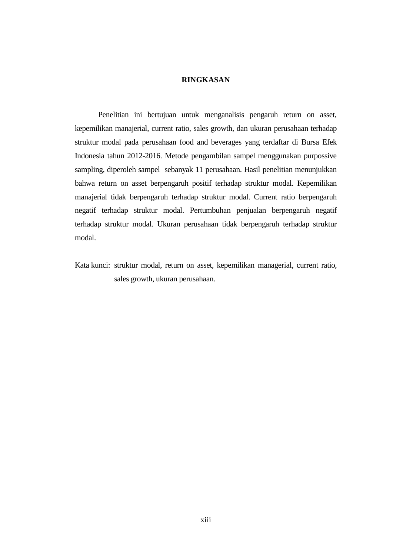## **RINGKASAN**

Penelitian ini bertujuan untuk menganalisis pengaruh return on asset, kepemilikan manajerial, current ratio, sales growth, dan ukuran perusahaan terhadap struktur modal pada perusahaan food and beverages yang terdaftar di Bursa Efek Indonesia tahun 2012-2016. Metode pengambilan sampel menggunakan purpossive sampling, diperoleh sampel sebanyak 11 perusahaan. Hasil penelitian menunjukkan bahwa return on asset berpengaruh positif terhadap struktur modal. Kepemilikan manajerial tidak berpengaruh terhadap struktur modal. Current ratio berpengaruh negatif terhadap struktur modal. Pertumbuhan penjualan berpengaruh negatif terhadap struktur modal. Ukuran perusahaan tidak berpengaruh terhadap struktur modal.

Kata kunci: struktur modal, return on asset, kepemilikan managerial, current ratio, sales growth, ukuran perusahaan.